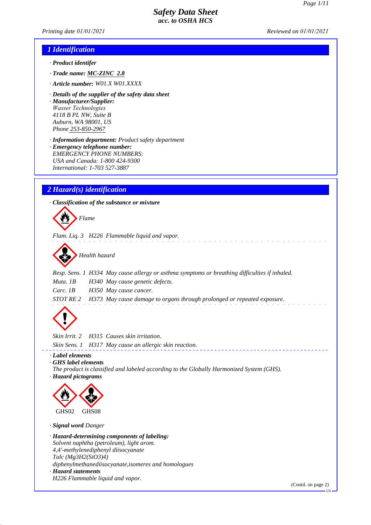*Printing date 01/01/2021 Reviewed on 01/01/2021*

### *1 Identification*

- *· Product identifer*
- *· Trade name: MC-ZINC 2.8*
- *· Article number: W01.X W01.XXXX*
- *· Details of the supplier of the safety data sheet · Manufacturer/Supplier: Wasser Technologies 4118 B PL NW, Suite B Auburn, WA 98001, US Phone 253-850-2967*
- *· Information department: Product safety department · Emergency telephone number: EMERGENCY PHONE NUMBERS: USA and Canada: 1-800 424-9300 International: 1-703 527-3887*

## *2 Hazard(s) identification*

*· Classification of the substance or mixture*



*Flam. Liq. 3 H226 Flammable liquid and vapor.*



*Resp. Sens. 1 H334 May cause allergy or asthma symptoms or breathing difficulties if inhaled. Muta. 1B H340 May cause genetic defects. Carc. 1B H350 May cause cancer. STOT RE 2 H373 May cause damage to organs through prolonged or repeated exposure.*



*Skin Irrit. 2 H315 Causes skin irritation. Skin Sens. 1 H317 May cause an allergic skin reaction.*

*· Label elements*

*· GHS label elements*

- *The product is classified and labeled according to the Globally Harmonized System (GHS).*
- *· Hazard pictograms*



*· Signal word Danger*

*· Hazard-determining components of labeling: Solvent naphtha (petroleum), light arom. 4,4'-methylenediphenyl diisocyanate Talc (Mg3H2(SiO3)4) diphenylmethanediisocyanate,isomeres and homologues · Hazard statements H226 Flammable liquid and vapor.*

(Contd. on page 2)

US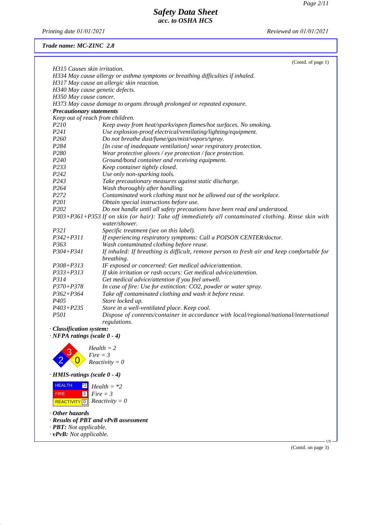*Printing date 01/01/2021 Reviewed on 01/01/2021*

## *Trade name: MC-ZINC 2.8*

|                                                                | (Contd. of page 1)                                                                                                    |
|----------------------------------------------------------------|-----------------------------------------------------------------------------------------------------------------------|
| H315 Causes skin irritation.                                   |                                                                                                                       |
|                                                                | H334 May cause allergy or asthma symptoms or breathing difficulties if inhaled.                                       |
|                                                                | H317 May cause an allergic skin reaction.                                                                             |
|                                                                | H340 May cause genetic defects.                                                                                       |
| H350 May cause cancer.                                         |                                                                                                                       |
|                                                                | H373 May cause damage to organs through prolonged or repeated exposure.                                               |
| · Precautionary statements                                     | Keep out of reach from children.                                                                                      |
| P210                                                           | Keep away from heat/sparks/open flames/hot surfaces. No smoking.                                                      |
| P241                                                           | Use explosion-proof electrical/ventilating/lighting/equipment.                                                        |
| P <sub>260</sub>                                               | Do not breathe dust/fume/gas/mist/vapors/spray.                                                                       |
| P <sub>284</sub>                                               | [In case of inadequate ventilation] wear respiratory protection.                                                      |
| P <sub>280</sub>                                               | Wear protective gloves / eye protection / face protection.                                                            |
| P <sub>240</sub>                                               | Ground/bond container and receiving equipment.                                                                        |
| P233                                                           | Keep container tightly closed.                                                                                        |
| P242                                                           | Use only non-sparking tools.                                                                                          |
| P <sub>243</sub>                                               | Take precautionary measures against static discharge.                                                                 |
| P <sub>264</sub>                                               | Wash thoroughly after handling.                                                                                       |
| P272                                                           | Contaminated work clothing must not be allowed out of the workplace.                                                  |
| P201                                                           | Obtain special instructions before use.                                                                               |
| P <sub>202</sub>                                               | Do not handle until all safety precautions have been read and understood.                                             |
|                                                                | P303+P361+P353 If on skin (or hair): Take off immediately all contaminated clothing. Rinse skin with<br>water/shower. |
| P321                                                           | Specific treatment (see on this label).                                                                               |
| $P342 + P311$                                                  | If experiencing respiratory symptoms: Call a POISON CENTER/doctor.                                                    |
| P363                                                           | Wash contaminated clothing before reuse.                                                                              |
| $P304 + P341$                                                  | If inhaled: If breathing is difficult, remove person to fresh air and keep comfortable for<br>breathing.              |
| $P308 + P313$                                                  | IF exposed or concerned: Get medical advice/attention.                                                                |
| $P333 + P313$                                                  | If skin irritation or rash occurs: Get medical advice/attention.                                                      |
| P314                                                           | Get medical advice/attention if you feel unwell.                                                                      |
| $P370 + P378$                                                  | In case of fire: Use for extinction: CO2, powder or water spray.                                                      |
| $P362 + P364$                                                  | Take off contaminated clothing and wash it before reuse.                                                              |
| P <sub>405</sub>                                               | Store locked up.                                                                                                      |
| $P403 + P235$                                                  | Store in a well-ventilated place. Keep cool.                                                                          |
| <i>P501</i>                                                    | Dispose of contents/container in accordance with local/regional/national/international                                |
|                                                                | regulations.                                                                                                          |
| · Classification system:<br>$\cdot$ NFPA ratings (scale 0 - 4) |                                                                                                                       |
|                                                                |                                                                                                                       |
|                                                                | $Health = 2$                                                                                                          |
|                                                                | $Fire = 3$                                                                                                            |
|                                                                | $Reactivity = 0$                                                                                                      |
| $\cdot$ HMIS-ratings (scale 0 - 4)                             |                                                                                                                       |
| <b>HEALTH</b><br>$^*2$                                         | $Health = *2$                                                                                                         |
| 3 <br><b>FIRE</b>                                              | $Fire = 3$                                                                                                            |
| <b>REACTIVITY</b> 0                                            | $Reactivity = 0$                                                                                                      |
| $\cdot$ Other hazards                                          |                                                                                                                       |
|                                                                | · Results of PBT and vPvB assessment                                                                                  |
| · <b>PBT</b> : Not applicable.                                 |                                                                                                                       |
| $\cdot$ vPvB: Not applicable.                                  |                                                                                                                       |
|                                                                | $US -$                                                                                                                |
|                                                                | (Contd. on page 3)                                                                                                    |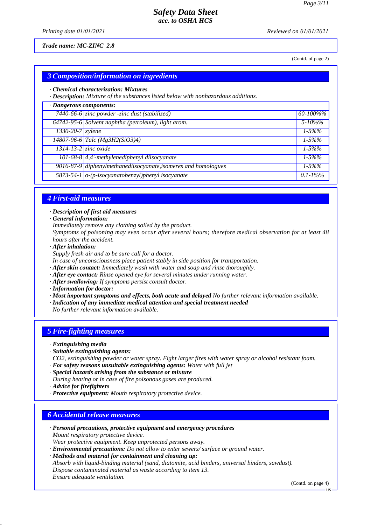*Printing date 01/01/2021 Reviewed on 01/01/2021*

*Trade name: MC-ZINC 2.8*

(Contd. of page 2)

## *3 Composition/information on ingredients*

#### *· Chemical characterization: Mixtures*

*· Description: Mixture of the substances listed below with nonhazardous additions.*

| · Dangerous components:    |                                                                          |               |
|----------------------------|--------------------------------------------------------------------------|---------------|
|                            | $\overline{7440\text{-}66\text{-}6}$ zinc powder -zinc dust (stabilized) | 60-100%%      |
|                            | 64742-95-6 Solvent naphtha (petroleum), light arom.                      | $5 - 10\%$ %  |
| $1330-20-7$ xylene         |                                                                          | $1 - 5\%%$    |
|                            | $14807 - 96 - 6$ Talc (Mg3H2(SiO3)4)                                     | $1 - 5\%%$    |
| $1314 - 13 - 2$ zinc oxide |                                                                          | $1 - 5\%%$    |
|                            | $101-68-8$ 4,4'-methylenediphenyl diisocyanate                           | $1 - 5\%%$    |
|                            | 9016-87-9 diphenylmethanediisocyanate, isomeres and homologues           | $1 - 5\%%$    |
|                            | 5873-54-1 o-(p-isocyanatobenzyl)phenyl isocyanate                        | $0.1 - 1\%$ % |

#### *4 First-aid measures*

*· Description of first aid measures*

*· General information:*

*Immediately remove any clothing soiled by the product.*

*Symptoms of poisoning may even occur after several hours; therefore medical observation for at least 48 hours after the accident.*

*· After inhalation:*

*Supply fresh air and to be sure call for a doctor.*

*In case of unconsciousness place patient stably in side position for transportation.*

- *· After skin contact: Immediately wash with water and soap and rinse thoroughly.*
- *· After eye contact: Rinse opened eye for several minutes under running water.*
- *· After swallowing: If symptoms persist consult doctor.*

*· Information for doctor:*

*· Most important symptoms and effects, both acute and delayed No further relevant information available.*

*· Indication of any immediate medical attention and special treatment needed*

*No further relevant information available.*

### *5 Fire-fighting measures*

- *· Extinguishing media*
- *· Suitable extinguishing agents:*
- *CO2, extinguishing powder or water spray. Fight larger fires with water spray or alcohol resistant foam.*
- *· For safety reasons unsuitable extinguishing agents: Water with full jet*
- *· Special hazards arising from the substance or mixture*
- *During heating or in case of fire poisonous gases are produced.*
- *· Advice for firefighters*
- *· Protective equipment: Mouth respiratory protective device.*

### *6 Accidental release measures*

- *· Personal precautions, protective equipment and emergency procedures Mount respiratory protective device. Wear protective equipment. Keep unprotected persons away.*
- *· Environmental precautions: Do not allow to enter sewers/ surface or ground water.*
- *· Methods and material for containment and cleaning up:*

*Absorb with liquid-binding material (sand, diatomite, acid binders, universal binders, sawdust). Dispose contaminated material as waste according to item 13. Ensure adequate ventilation.*

(Contd. on page 4)

US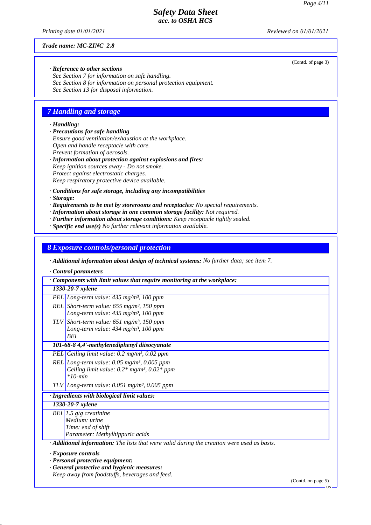(Contd. of page 3)

## *Safety Data Sheet acc. to OSHA HCS*

*Printing date 01/01/2021 Reviewed on 01/01/2021*

*Trade name: MC-ZINC 2.8*

*· Reference to other sections*

*See Section 7 for information on safe handling. See Section 8 for information on personal protection equipment. See Section 13 for disposal information.*

### *7 Handling and storage*

#### *· Handling:*

- *· Precautions for safe handling Ensure good ventilation/exhaustion at the workplace. Open and handle receptacle with care. Prevent formation of aerosols.*
- *· Information about protection against explosions and fires: Keep ignition sources away - Do not smoke. Protect against electrostatic charges. Keep respiratory protective device available.*
- *· Conditions for safe storage, including any incompatibilities*
- *· Storage:*
- *· Requirements to be met by storerooms and receptacles: No special requirements.*
- *· Information about storage in one common storage facility: Not required.*
- *· Further information about storage conditions: Keep receptacle tightly sealed.*
- *· Specific end use(s) No further relevant information available.*

*8 Exposure controls/personal protection*

*· Additional information about design of technical systems: No further data; see item 7.*

*· Control parameters*

| Components with limit values that require monitoring at the workplace:                    |
|-------------------------------------------------------------------------------------------|
| 1330-20-7 xylene                                                                          |
| PEL Long-term value: $435$ mg/m <sup>3</sup> , 100 ppm                                    |
| REL Short-term value: $655$ mg/m <sup>3</sup> , 150 ppm                                   |
| Long-term value: $435 \text{ mg/m}^3$ , 100 ppm                                           |
| TLV Short-term value: $651$ mg/m <sup>3</sup> , 150 ppm                                   |
| Long-term value: 434 mg/m <sup>3</sup> , 100 ppm                                          |
| <b>BEI</b>                                                                                |
| 101-68-8 4,4'-methylenediphenyl diisocyanate                                              |
| PEL Ceiling limit value: $0.2 \text{ mg/m}^3$ , $0.02 \text{ ppm}$                        |
| REL Long-term value: $0.05$ mg/m <sup>3</sup> , $0.005$ ppm                               |
| Ceiling limit value: $0.2*$ mg/m <sup>3</sup> , $0.02*$ ppm                               |
| $*10$ -min                                                                                |
| TLV Long-term value: $0.051$ mg/m <sup>3</sup> , 0.005 ppm                                |
| · Ingredients with biological limit values:                                               |
| 1330-20-7 xylene                                                                          |
| BEI 1.5 $g/g$ creatinine                                                                  |
| Medium: urine                                                                             |
| Time: end of shift                                                                        |
| Parameter: Methylhippuric acids                                                           |
| Additional information: The lists that were valid during the creation were used as basis. |
| · Exposure controls                                                                       |
| · Personal protective equipment:                                                          |
| · General protective and hygienic measures:                                               |
| Keep away from foodstuffs, beverages and feed.                                            |

(Contd. on page 5)

US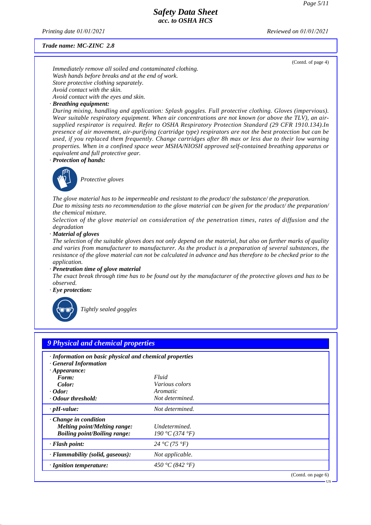*Printing date 01/01/2021 Reviewed on 01/01/2021*

#### *Trade name: MC-ZINC 2.8*

(Contd. of page 4)

*Immediately remove all soiled and contaminated clothing. Wash hands before breaks and at the end of work. Store protective clothing separately. Avoid contact with the skin. Avoid contact with the eyes and skin.*

#### *· Breathing equipment:*

*During mixing, handling and application: Splash goggles. Full protective clothing. Gloves (impervious). Wear suitable respiratory equipment. When air concentrations are not known (or above the TLV), an airsupplied respirator is required. Refer to OSHA Respiratory Protection Standard (29 CFR 1910.134).In presence of air movement, air-purifying (cartridge type) respirators are not the best protection but can be used, if you replaced them frequently. Change cartridges after 8h max or less due to their low warning properties. When in a confined space wear MSHA/NIOSH approved self-contained breathing apparatus or equivalent and full protective gear.*

*· Protection of hands:*



\_S*Protective gloves*

*The glove material has to be impermeable and resistant to the product/ the substance/ the preparation.*

*Due to missing tests no recommendation to the glove material can be given for the product/ the preparation/ the chemical mixture.*

*Selection of the glove material on consideration of the penetration times, rates of diffusion and the degradation*

*· Material of gloves*

*The selection of the suitable gloves does not only depend on the material, but also on further marks of quality and varies from manufacturer to manufacturer. As the product is a preparation of several substances, the resistance of the glove material can not be calculated in advance and has therefore to be checked prior to the application.*

*· Penetration time of glove material*

*The exact break through time has to be found out by the manufacturer of the protective gloves and has to be observed.*

*· Eye protection:*



\_R*Tightly sealed goggles*

| · Information on basic physical and chemical properties<br>· General Information |                       |  |
|----------------------------------------------------------------------------------|-----------------------|--|
| $\cdot$ Appearance:<br>Form:                                                     | Fluid                 |  |
| Color:                                                                           | <i>Various colors</i> |  |
| $\cdot$ Odor:                                                                    | Aromatic              |  |
| Odour threshold:                                                                 | Not determined.       |  |
| $\cdot$ pH-value:                                                                | Not determined.       |  |
| $\cdot$ Change in condition                                                      |                       |  |
| Melting point/Melting range:                                                     | Undetermined.         |  |
| <b>Boiling point/Boiling range:</b>                                              | 190 °C (374 °F)       |  |
| $\cdot$ Flash point:                                                             | 24 °C (75 °F)         |  |
| · Flammability (solid, gaseous):                                                 | Not applicable.       |  |
| · Ignition temperature:                                                          | 450 °C (842 °F)       |  |

US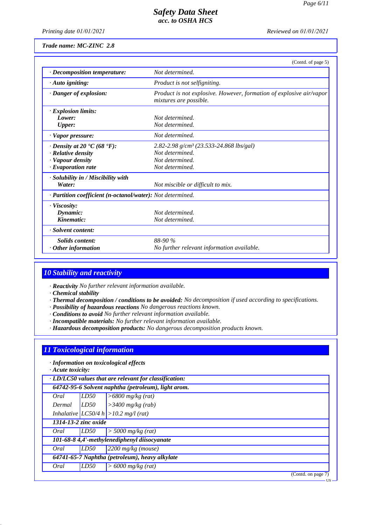US

## *Safety Data Sheet acc. to OSHA HCS*

*Printing date 01/01/2021 Reviewed on 01/01/2021*

*Trade name: MC-ZINC 2.8*

|                                                            | (Contd. of page 5)                                                                            |
|------------------------------------------------------------|-----------------------------------------------------------------------------------------------|
| · Decomposition temperature:                               | Not determined.                                                                               |
| $\cdot$ Auto igniting:                                     | <i>Product is not selfigniting.</i>                                                           |
| · Danger of explosion:                                     | Product is not explosive. However, formation of explosive air/vapor<br>mixtures are possible. |
| $\cdot$ Explosion limits:                                  |                                                                                               |
| Lower:                                                     | Not determined.                                                                               |
| <b>Upper:</b>                                              | Not determined.                                                                               |
| $\cdot$ Vapor pressure:                                    | Not determined.                                                                               |
| $\cdot$ Density at 20 $\cdot$ C (68 $\cdot$ F):            | 2.82-2.98 g/cm <sup>3</sup> (23.533-24.868 lbs/gal)                                           |
| · Relative density                                         | Not determined.                                                                               |
| · Vapour density                                           | Not determined.                                                                               |
| $\cdot$ Evaporation rate                                   | Not determined.                                                                               |
| · Solubility in / Miscibility with                         |                                                                                               |
| Water:                                                     | Not miscible or difficult to mix.                                                             |
| · Partition coefficient (n-octanol/water): Not determined. |                                                                                               |
| $\cdot$ Viscosity:                                         |                                                                                               |
| Dynamic:                                                   | Not determined.                                                                               |
| Kinematic:                                                 | Not determined.                                                                               |
| · Solvent content:                                         |                                                                                               |
| <b>Solids content:</b>                                     | 88-90 %                                                                                       |
| $\cdot$ Other information                                  | No further relevant information available.                                                    |

## *10 Stability and reactivity*

*· Reactivity No further relevant information available.*

*· Chemical stability*

- *· Thermal decomposition / conditions to be avoided: No decomposition if used according to specifications.*
- *· Possibility of hazardous reactions No dangerous reactions known.*
- *· Conditions to avoid No further relevant information available.*
- *· Incompatible materials: No further relevant information available.*
- *· Hazardous decomposition products: No dangerous decomposition products known.*

## *11 Toxicological information*

*· Information on toxicological effects*

*· Acute toxicity:*

|                                                |                      | 64742-95-6 Solvent naphtha (petroleum), light arom. |
|------------------------------------------------|----------------------|-----------------------------------------------------|
| Oral                                           | LD50                 | $>6800$ mg/kg (rat)                                 |
| Dermal                                         | LD50                 | $\geq$ 3400 mg/kg (rab)                             |
|                                                |                      | Inhalative $ LCS0/4 h  > 10.2 mg/l$ (rat)           |
|                                                | 1314-13-2 zinc oxide |                                                     |
| Oral                                           | LD50                 | $>$ 5000 mg/kg (rat)                                |
| 101-68-8 4,4'-methylenediphenyl diisocyanate   |                      |                                                     |
| Oral                                           | LD50                 | $2200$ mg/kg (mouse)                                |
| 64741-65-7 Naphtha (petroleum), heavy alkylate |                      |                                                     |
| Oral                                           | LD50                 | $> 6000$ mg/kg (rat)                                |
|                                                |                      | (Contd. on page 7)                                  |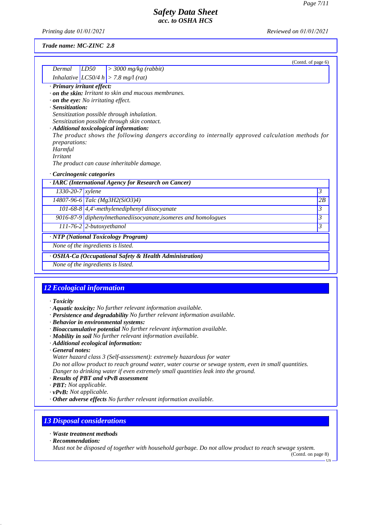*Printing date 01/01/2021 Reviewed on 01/01/2021*

#### *Trade name: MC-ZINC 2.8*

|                                           |                            | (Contd. of page 6)                                                                               |    |
|-------------------------------------------|----------------------------|--------------------------------------------------------------------------------------------------|----|
| Dermal                                    | LD50                       | $>$ 3000 mg/kg (rabbit)                                                                          |    |
|                                           |                            | Inhalative $ LC50/4 h  > 7.8 mg/(rat)$                                                           |    |
| · Primary irritant effect:                |                            |                                                                                                  |    |
|                                           |                            | $\cdot$ on the skin: Irritant to skin and mucous membranes.                                      |    |
| $\cdot$ on the eye: No irritating effect. |                            |                                                                                                  |    |
| · Sensitization:                          |                            |                                                                                                  |    |
|                                           |                            | Sensitization possible through inhalation.                                                       |    |
|                                           |                            | Sensitization possible through skin contact.                                                     |    |
|                                           |                            | · Additional toxicological information:                                                          |    |
|                                           |                            | The product shows the following dangers according to internally approved calculation methods for |    |
| <i>preparations:</i><br>Harmful           |                            |                                                                                                  |    |
| <i>Irritant</i>                           |                            |                                                                                                  |    |
|                                           |                            | The product can cause inheritable damage.                                                        |    |
|                                           |                            |                                                                                                  |    |
| Carcinogenic categories                   |                            |                                                                                                  |    |
|                                           |                            | · IARC (International Agency for Research on Cancer)                                             |    |
| $1330 - 20 - 7$ <i>xylene</i>             |                            |                                                                                                  | 3  |
|                                           |                            | $14807 - 96 - 6$ Talc (Mg3H2(SiO3)4)                                                             | 2B |
|                                           |                            | 101-68-8 $\vert$ 4,4'-methylenediphenyl diisocyanate                                             | 3  |
|                                           |                            | 9016-87-9 diphenylmethanediisocyanate, isomeres and homologues                                   | 3  |
|                                           | $111-76-2$ 2-butoxyethanol |                                                                                                  | 3  |
| · NTP (National Toxicology Program)       |                            |                                                                                                  |    |
| None of the ingredients is listed.        |                            |                                                                                                  |    |
|                                           |                            | · OSHA-Ca (Occupational Safety & Health Administration)                                          |    |
| None of the ingredients is listed.        |                            |                                                                                                  |    |

## *12 Ecological information*

#### *· Toxicity*

- *· Aquatic toxicity: No further relevant information available.*
- *· Persistence and degradability No further relevant information available.*
- *· Behavior in environmental systems:*
- *· Bioaccumulative potential No further relevant information available.*
- *· Mobility in soil No further relevant information available.*
- *· Additional ecological information:*
- *· General notes:*
- *Water hazard class 3 (Self-assessment): extremely hazardous for water*

*Do not allow product to reach ground water, water course or sewage system, even in small quantities. Danger to drinking water if even extremely small quantities leak into the ground.*

- *· Results of PBT and vPvB assessment*
- *· PBT: Not applicable.*
- *· vPvB: Not applicable.*
- *· Other adverse effects No further relevant information available.*

## *13 Disposal considerations*

- *· Waste treatment methods*
- *· Recommendation:*

*Must not be disposed of together with household garbage. Do not allow product to reach sewage system.*

(Contd. on page 8)

US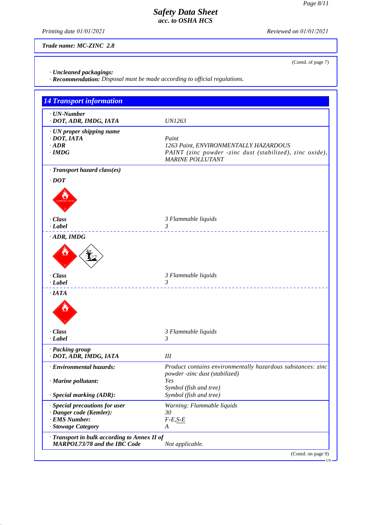(Contd. of page 7)

## *Safety Data Sheet acc. to OSHA HCS*

*Printing date 01/01/2021 Reviewed on 01/01/2021*

*Trade name: MC-ZINC 2.8*

*· Uncleaned packagings:*

*· Recommendation: Disposal must be made according to official regulations.*

| $\cdot$ UN-Number                                                                   |                                                                                               |
|-------------------------------------------------------------------------------------|-----------------------------------------------------------------------------------------------|
| · DOT, ADR, IMDG, IATA                                                              | <i>UN1263</i>                                                                                 |
| · UN proper shipping name                                                           |                                                                                               |
| $\cdot$ DOT, IATA                                                                   | Paint                                                                                         |
| $\cdot$ ADR                                                                         | 1263 Paint, ENVIRONMENTALLY HAZARDOUS                                                         |
| $\cdot$ IMDG                                                                        | PAINT (zinc powder -zinc dust (stabilized), zinc oxide),<br><b>MARINE POLLUTANT</b>           |
| · Transport hazard class(es)                                                        |                                                                                               |
| $\cdot$ DOT                                                                         |                                                                                               |
|                                                                                     |                                                                                               |
| · Class                                                                             | 3 Flammable liquids                                                                           |
| $\cdot$ <i>Label</i>                                                                | $\mathfrak{Z}$                                                                                |
| $\cdot$ ADR, IMDG                                                                   |                                                                                               |
| $\cdot$ Class                                                                       | 3 Flammable liquids                                                                           |
| $\cdot$ Label                                                                       | 3<br>.                                                                                        |
| $\cdot$ IATA                                                                        |                                                                                               |
| · Class                                                                             | 3 Flammable liquids                                                                           |
| $\cdot$ Label                                                                       | $\mathfrak{Z}$                                                                                |
| · Packing group<br>· DOT, ADR, IMDG, IATA                                           | III                                                                                           |
| · Environmental hazards:                                                            | Product contains environmentally hazardous substances: zinc<br>powder -zinc dust (stabilized) |
| · Marine pollutant:                                                                 | Yes<br>Symbol (fish and tree)                                                                 |
| $\cdot$ Special marking (ADR):                                                      | Symbol (fish and tree)                                                                        |
| · Special precautions for user                                                      | Warning: Flammable liquids                                                                    |
| · Danger code (Kemler):                                                             | 30                                                                                            |
| · EMS Number:                                                                       | $F-E, S-E$                                                                                    |
| · Stowage Category                                                                  | A                                                                                             |
| · Transport in bulk according to Annex II of<br><b>MARPOL73/78 and the IBC Code</b> | Not applicable.                                                                               |
|                                                                                     |                                                                                               |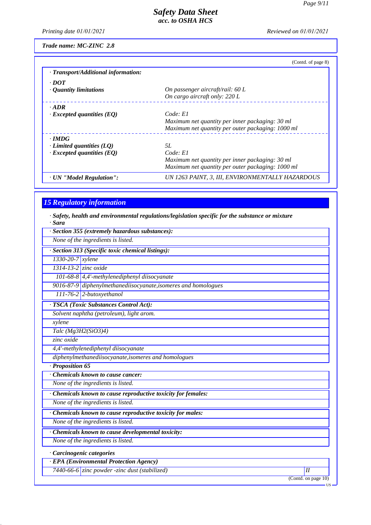*Printing date 01/01/2021 Reviewed on 01/01/2021*

*Trade name: MC-ZINC 2.8*

|                                     | (Contd. of page 8)                                |
|-------------------------------------|---------------------------------------------------|
| · Transport/Additional information: |                                                   |
| $\cdot$ DOT                         |                                                   |
| $\cdot$ Quantity limitations        | On passenger aircraft/rail: 60 L                  |
|                                     | On cargo aircraft only: 220 L                     |
| $\cdot$ ADR                         |                                                   |
| $\cdot$ Excepted quantities (EQ)    | Code: El                                          |
|                                     | Maximum net quantity per inner packaging: 30 ml   |
|                                     | Maximum net quantity per outer packaging: 1000 ml |
| $\cdot$ IMDG                        |                                                   |
| $\cdot$ Limited quantities (LQ)     | 5L                                                |
| $\cdot$ Excepted quantities (EQ)    | Code: El                                          |
|                                     | Maximum net quantity per inner packaging: 30 ml   |
|                                     | Maximum net quantity per outer packaging: 1000 ml |
| · UN "Model Regulation":            | UN 1263 PAINT, 3, III, ENVIRONMENTALLY HAZARDOUS  |

# *15 Regulatory information*

*· Safety, health and environmental regulations/legislation specific for the substance or mixture*

| $\cdot$ Sara                                                   |  |
|----------------------------------------------------------------|--|
| Section 355 (extremely hazardous substances):                  |  |
| None of the ingredients is listed.                             |  |
| · Section 313 (Specific toxic chemical listings):              |  |
| $1330-20-7$ xylene                                             |  |
| $1314 - 13 - 2$ zinc oxide                                     |  |
| 101-68-8 4,4'-methylenediphenyl diisocyanate                   |  |
| 9016-87-9 diphenylmethanediisocyanate, isomeres and homologues |  |
| 111-76-2 2-butoxyethanol                                       |  |
| · TSCA (Toxic Substances Control Act):                         |  |
| Solvent naphtha (petroleum), light arom.                       |  |
| xylene                                                         |  |
| Talc $(Mg3H2(SiO3)4)$                                          |  |
| zinc oxide                                                     |  |
| 4,4'-methylenediphenyl diisocyanate                            |  |
| diphenylmethanediisocyanate, isomeres and homologues           |  |
| $\cdot$ Proposition 65                                         |  |
| Chemicals known to cause cancer:                               |  |
| None of the ingredients is listed.                             |  |
| · Chemicals known to cause reproductive toxicity for females:  |  |
| None of the ingredients is listed.                             |  |
| · Chemicals known to cause reproductive toxicity for males:    |  |
| None of the ingredients is listed.                             |  |
| · Chemicals known to cause developmental toxicity:             |  |
| None of the ingredients is listed.                             |  |
| · Carcinogenic categories                                      |  |
| · EPA (Environmental Protection Agency)                        |  |
|                                                                |  |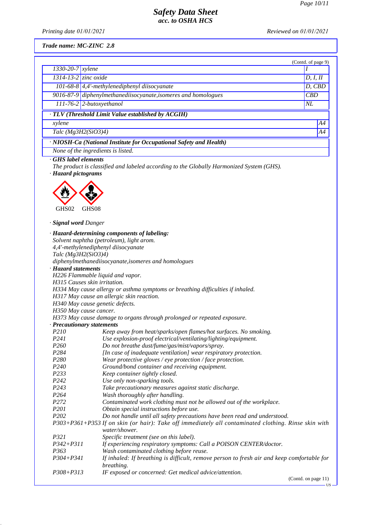*Printing date 01/01/2021 Reviewed on 01/01/2021*

*Trade name: MC-ZINC 2.8*

|                                                                    |                                                                | (Contd. of page 9) |    |
|--------------------------------------------------------------------|----------------------------------------------------------------|--------------------|----|
| $1330 - 20 - 7$ <i>xylene</i>                                      |                                                                |                    |    |
|                                                                    | $1314-13-2$ zinc oxide                                         | D, I, II           |    |
|                                                                    | 101-68-8 $\vert$ 4,4'-methylenediphenyl diisocyanate           | D, CBD             |    |
|                                                                    | 9016-87-9 diphenylmethanediisocyanate, isomeres and homologues | CBD                |    |
|                                                                    | $111-76-2$ 2-butoxyethanol                                     | NL                 |    |
| · TLV (Threshold Limit Value established by ACGIH)                 |                                                                |                    |    |
| xylene                                                             |                                                                |                    | A4 |
| Talc $(Mg3H2(SiO3)4)$                                              |                                                                |                    | A4 |
| · NIOSH-Ca (National Institute for Occupational Safety and Health) |                                                                |                    |    |
| None of the ingredients is listed.                                 |                                                                |                    |    |

*· GHS label elements*

*The product is classified and labeled according to the Globally Harmonized System (GHS). · Hazard pictograms*



*· Signal word Danger*

|                                  | · Hazard-determining components of labeling:                                                                          |
|----------------------------------|-----------------------------------------------------------------------------------------------------------------------|
|                                  | Solvent naphtha (petroleum), light arom.                                                                              |
|                                  | 4,4'-methylenediphenyl diisocyanate                                                                                   |
| Talc $(Mg3H2(SiO3)4)$            |                                                                                                                       |
|                                  | diphenylmethanediisocyanate, isomeres and homologues                                                                  |
| · Hazard statements              |                                                                                                                       |
| H226 Flammable liquid and vapor. |                                                                                                                       |
| H315 Causes skin irritation.     |                                                                                                                       |
|                                  | H334 May cause allergy or asthma symptoms or breathing difficulties if inhaled.                                       |
|                                  | H317 May cause an allergic skin reaction.                                                                             |
| H340 May cause genetic defects.  |                                                                                                                       |
| H350 May cause cancer.           |                                                                                                                       |
|                                  | H373 May cause damage to organs through prolonged or repeated exposure.                                               |
| · Precautionary statements       |                                                                                                                       |
| P210                             | Keep away from heat/sparks/open flames/hot surfaces. No smoking.                                                      |
| P241                             | Use explosion-proof electrical/ventilating/lighting/equipment.                                                        |
| P <sub>260</sub>                 | Do not breathe dust/fume/gas/mist/vapors/spray.                                                                       |
| P284                             | [In case of inadequate ventilation] wear respiratory protection.                                                      |
| P <sub>280</sub>                 | Wear protective gloves / eye protection / face protection.                                                            |
| P <sub>240</sub>                 | Ground/bond container and receiving equipment.                                                                        |
| P233                             | Keep container tightly closed.                                                                                        |
| P242                             | Use only non-sparking tools.                                                                                          |
| P243                             | Take precautionary measures against static discharge.                                                                 |
| P <sub>264</sub>                 | Wash thoroughly after handling.                                                                                       |
| P272                             | Contaminated work clothing must not be allowed out of the workplace.                                                  |
| P201                             | Obtain special instructions before use.                                                                               |
| P <sub>202</sub>                 | Do not handle until all safety precautions have been read and understood.                                             |
|                                  | P303+P361+P353 If on skin (or hair): Take off immediately all contaminated clothing. Rinse skin with<br>water/shower. |
| P321                             | Specific treatment (see on this label).                                                                               |
| $P342 + P311$                    | If experiencing respiratory symptoms: Call a POISON CENTER/doctor.                                                    |
| P363                             | Wash contaminated clothing before reuse.                                                                              |
| P304+P341                        | If inhaled: If breathing is difficult, remove person to fresh air and keep comfortable for<br>breathing.              |
| $P308 + P313$                    | IF exposed or concerned: Get medical advice/attention.                                                                |
|                                  | $(Contd \text{ on } \text{pose } 11)$                                                                                 |

(Contd. on page 11)